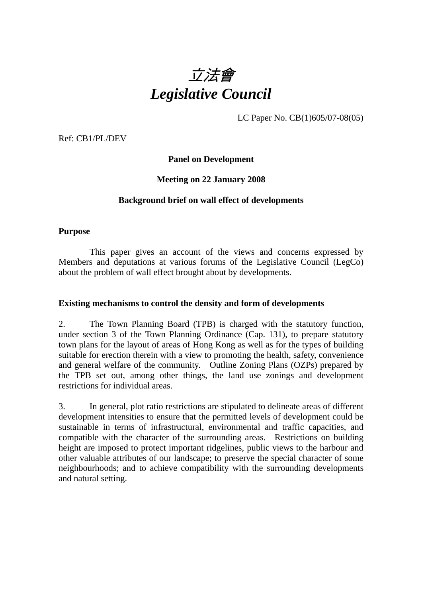

LC Paper No. CB(1)605/07-08(05)

Ref: CB1/PL/DEV

**Panel on Development** 

## **Meeting on 22 January 2008**

#### **Background brief on wall effect of developments**

#### **Purpose**

 This paper gives an account of the views and concerns expressed by Members and deputations at various forums of the Legislative Council (LegCo) about the problem of wall effect brought about by developments.

#### **Existing mechanisms to control the density and form of developments**

2. The Town Planning Board (TPB) is charged with the statutory function, under section 3 of the Town Planning Ordinance (Cap. 131), to prepare statutory town plans for the layout of areas of Hong Kong as well as for the types of building suitable for erection therein with a view to promoting the health, safety, convenience and general welfare of the community. Outline Zoning Plans (OZPs) prepared by the TPB set out, among other things, the land use zonings and development restrictions for individual areas.

3. In general, plot ratio restrictions are stipulated to delineate areas of different development intensities to ensure that the permitted levels of development could be sustainable in terms of infrastructural, environmental and traffic capacities, and compatible with the character of the surrounding areas. Restrictions on building height are imposed to protect important ridgelines, public views to the harbour and other valuable attributes of our landscape; to preserve the special character of some neighbourhoods; and to achieve compatibility with the surrounding developments and natural setting.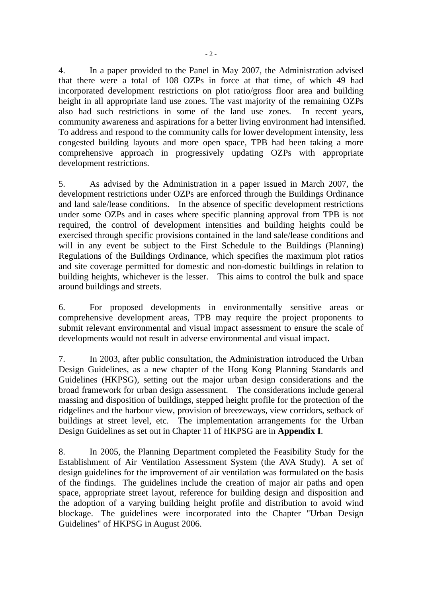4. In a paper provided to the Panel in May 2007, the Administration advised that there were a total of 108 OZPs in force at that time, of which 49 had incorporated development restrictions on plot ratio/gross floor area and building height in all appropriate land use zones. The vast majority of the remaining OZPs also had such restrictions in some of the land use zones. In recent years, community awareness and aspirations for a better living environment had intensified. To address and respond to the community calls for lower development intensity, less congested building layouts and more open space, TPB had been taking a more comprehensive approach in progressively updating OZPs with appropriate development restrictions.

5. As advised by the Administration in a paper issued in March 2007, the development restrictions under OZPs are enforced through the Buildings Ordinance and land sale/lease conditions. In the absence of specific development restrictions under some OZPs and in cases where specific planning approval from TPB is not required, the control of development intensities and building heights could be exercised through specific provisions contained in the land sale/lease conditions and will in any event be subject to the First Schedule to the Buildings (Planning) Regulations of the Buildings Ordinance, which specifies the maximum plot ratios and site coverage permitted for domestic and non-domestic buildings in relation to building heights, whichever is the lesser. This aims to control the bulk and space around buildings and streets.

6. For proposed developments in environmentally sensitive areas or comprehensive development areas, TPB may require the project proponents to submit relevant environmental and visual impact assessment to ensure the scale of developments would not result in adverse environmental and visual impact.

7. In 2003, after public consultation, the Administration introduced the Urban Design Guidelines, as a new chapter of the Hong Kong Planning Standards and Guidelines (HKPSG), setting out the major urban design considerations and the broad framework for urban design assessment. The considerations include general massing and disposition of buildings, stepped height profile for the protection of the ridgelines and the harbour view, provision of breezeways, view corridors, setback of buildings at street level, etc. The implementation arrangements for the Urban Design Guidelines as set out in Chapter 11 of HKPSG are in **Appendix I**.

8. In 2005, the Planning Department completed the Feasibility Study for the Establishment of Air Ventilation Assessment System (the AVA Study). A set of design guidelines for the improvement of air ventilation was formulated on the basis of the findings. The guidelines include the creation of major air paths and open space, appropriate street layout, reference for building design and disposition and the adoption of a varying building height profile and distribution to avoid wind blockage. The guidelines were incorporated into the Chapter "Urban Design Guidelines" of HKPSG in August 2006.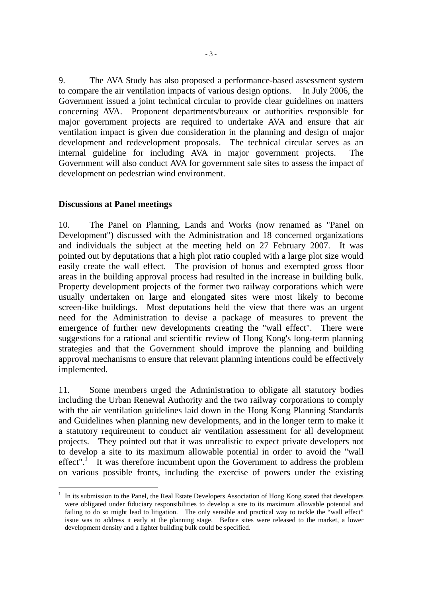9. The AVA Study has also proposed a performance-based assessment system to compare the air ventilation impacts of various design options. In July 2006, the Government issued a joint technical circular to provide clear guidelines on matters concerning AVA. Proponent departments/bureaux or authorities responsible for major government projects are required to undertake AVA and ensure that air ventilation impact is given due consideration in the planning and design of major development and redevelopment proposals. The technical circular serves as an internal guideline for including AVA in major government projects. The Government will also conduct AVA for government sale sites to assess the impact of development on pedestrian wind environment.

## **Discussions at Panel meetings**

 $\overline{a}$ 

10. The Panel on Planning, Lands and Works (now renamed as "Panel on Development") discussed with the Administration and 18 concerned organizations and individuals the subject at the meeting held on 27 February 2007. It was pointed out by deputations that a high plot ratio coupled with a large plot size would easily create the wall effect. The provision of bonus and exempted gross floor areas in the building approval process had resulted in the increase in building bulk. Property development projects of the former two railway corporations which were usually undertaken on large and elongated sites were most likely to become screen-like buildings. Most deputations held the view that there was an urgent need for the Administration to devise a package of measures to prevent the emergence of further new developments creating the "wall effect". There were suggestions for a rational and scientific review of Hong Kong's long-term planning strategies and that the Government should improve the planning and building approval mechanisms to ensure that relevant planning intentions could be effectively implemented.

11. Some members urged the Administration to obligate all statutory bodies including the Urban Renewal Authority and the two railway corporations to comply with the air ventilation guidelines laid down in the Hong Kong Planning Standards and Guidelines when planning new developments, and in the longer term to make it a statutory requirement to conduct air ventilation assessment for all development projects. They pointed out that it was unrealistic to expect private developers not to develop a site to its maximum allowable potential in order to avoid the "wall  $effect$ ".<sup>1</sup> It was therefore incumbent upon the Government to address the problem on various possible fronts, including the exercise of powers under the existing

<sup>1</sup> In its submission to the Panel, the Real Estate Developers Association of Hong Kong stated that developers were obligated under fiduciary responsibilities to develop a site to its maximum allowable potential and failing to do so might lead to litigation. The only sensible and practical way to tackle the "wall effect" issue was to address it early at the planning stage. Before sites were released to the market, a lower development density and a lighter building bulk could be specified.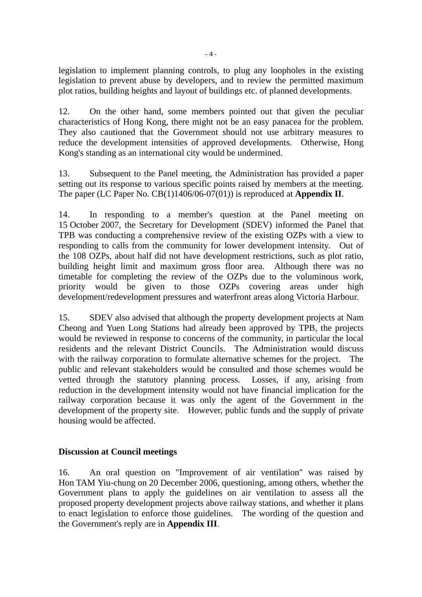legislation to implement planning controls, to plug any loopholes in the existing legislation to prevent abuse by developers, and to review the permitted maximum plot ratios, building heights and layout of buildings etc. of planned developments.

12. On the other hand, some members pointed out that given the peculiar characteristics of Hong Kong, there might not be an easy panacea for the problem. They also cautioned that the Government should not use arbitrary measures to reduce the development intensities of approved developments. Otherwise, Hong Kong's standing as an international city would be undermined.

13. Subsequent to the Panel meeting, the Administration has provided a paper setting out its response to various specific points raised by members at the meeting. The paper (LC Paper No. CB(1)1406/06-07(01)) is reproduced at **Appendix II**.

14. In responding to a member's question at the Panel meeting on 15 October 2007, the Secretary for Development (SDEV) informed the Panel that TPB was conducting a comprehensive review of the existing OZPs with a view to responding to calls from the community for lower development intensity. Out of the 108 OZPs, about half did not have development restrictions, such as plot ratio, building height limit and maximum gross floor area. Although there was no timetable for completing the review of the OZPs due to the voluminous work, priority would be given to those OZPs covering areas under high development/redevelopment pressures and waterfront areas along Victoria Harbour.

15. SDEV also advised that although the property development projects at Nam Cheong and Yuen Long Stations had already been approved by TPB, the projects would be reviewed in response to concerns of the community, in particular the local residents and the relevant District Councils. The Administration would discuss with the railway corporation to formulate alternative schemes for the project. The public and relevant stakeholders would be consulted and those schemes would be vetted through the statutory planning process. Losses, if any, arising from reduction in the development intensity would not have financial implication for the railway corporation because it was only the agent of the Government in the development of the property site. However, public funds and the supply of private housing would be affected.

#### **Discussion at Council meetings**

16. An oral question on "Improvement of air ventilation" was raised by Hon TAM Yiu-chung on 20 December 2006, questioning, among others, whether the Government plans to apply the guidelines on air ventilation to assess all the proposed property development projects above railway stations, and whether it plans to enact legislation to enforce those guidelines. The wording of the question and the Government's reply are in **Appendix III**.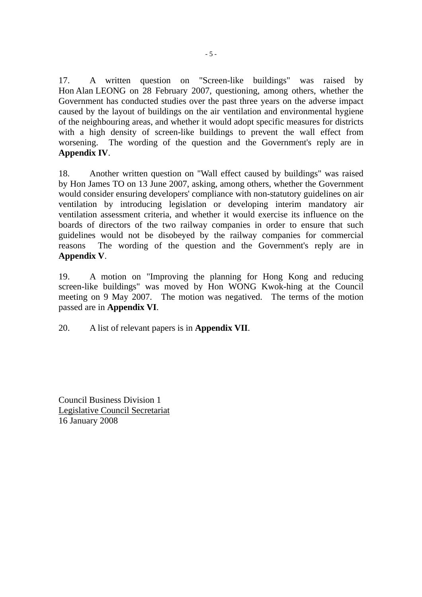17. A written question on "Screen-like buildings" was raised by Hon Alan LEONG on 28 February 2007, questioning, among others, whether the Government has conducted studies over the past three years on the adverse impact caused by the layout of buildings on the air ventilation and environmental hygiene of the neighbouring areas, and whether it would adopt specific measures for districts with a high density of screen-like buildings to prevent the wall effect from worsening. The wording of the question and the Government's reply are in **Appendix IV**.

18. Another written question on "Wall effect caused by buildings" was raised by Hon James TO on 13 June 2007, asking, among others, whether the Government would consider ensuring developers' compliance with non-statutory guidelines on air ventilation by introducing legislation or developing interim mandatory air ventilation assessment criteria, and whether it would exercise its influence on the boards of directors of the two railway companies in order to ensure that such guidelines would not be disobeyed by the railway companies for commercial reasons The wording of the question and the Government's reply are in **Appendix V**.

19. A motion on "Improving the planning for Hong Kong and reducing screen-like buildings" was moved by Hon WONG Kwok-hing at the Council meeting on 9 May 2007. The motion was negatived. The terms of the motion passed are in **Appendix VI**.

20. A list of relevant papers is in **Appendix VII**.

Council Business Division 1 Legislative Council Secretariat 16 January 2008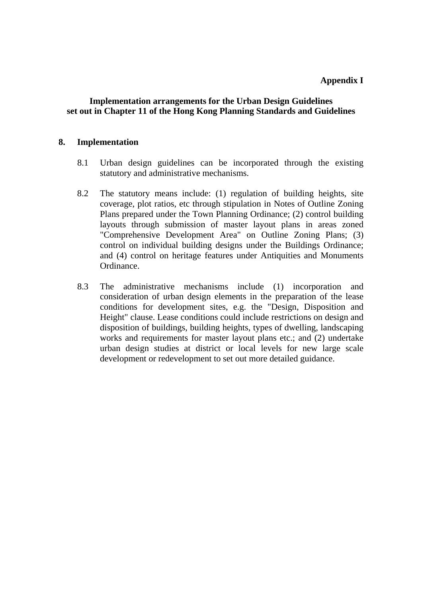## **Implementation arrangements for the Urban Design Guidelines set out in Chapter 11 of the Hong Kong Planning Standards and Guidelines**

#### **8. Implementation**

- 8.1 Urban design guidelines can be incorporated through the existing statutory and administrative mechanisms.
- 8.2 The statutory means include: (1) regulation of building heights, site coverage, plot ratios, etc through stipulation in Notes of Outline Zoning Plans prepared under the Town Planning Ordinance; (2) control building layouts through submission of master layout plans in areas zoned "Comprehensive Development Area" on Outline Zoning Plans; (3) control on individual building designs under the Buildings Ordinance; and (4) control on heritage features under Antiquities and Monuments Ordinance.
- 8.3 The administrative mechanisms include (1) incorporation and consideration of urban design elements in the preparation of the lease conditions for development sites, e.g. the "Design, Disposition and Height" clause. Lease conditions could include restrictions on design and disposition of buildings, building heights, types of dwelling, landscaping works and requirements for master layout plans etc.; and (2) undertake urban design studies at district or local levels for new large scale development or redevelopment to set out more detailed guidance.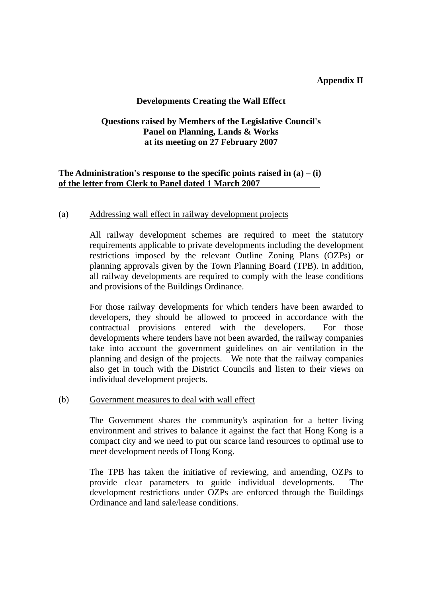#### **Appendix II**

## **Developments Creating the Wall Effect**

## **Questions raised by Members of the Legislative Council's Panel on Planning, Lands & Works at its meeting on 27 February 2007**

## **The Administration's response to the specific points raised in (a) – (i) of the letter from Clerk to Panel dated 1 March 2007**

#### (a) Addressing wall effect in railway development projects

 All railway development schemes are required to meet the statutory requirements applicable to private developments including the development restrictions imposed by the relevant Outline Zoning Plans (OZPs) or planning approvals given by the Town Planning Board (TPB). In addition, all railway developments are required to comply with the lease conditions and provisions of the Buildings Ordinance.

For those railway developments for which tenders have been awarded to developers, they should be allowed to proceed in accordance with the contractual provisions entered with the developers. For those developments where tenders have not been awarded, the railway companies take into account the government guidelines on air ventilation in the planning and design of the projects. We note that the railway companies also get in touch with the District Councils and listen to their views on individual development projects.

#### (b) Government measures to deal with wall effect

The Government shares the community's aspiration for a better living environment and strives to balance it against the fact that Hong Kong is a compact city and we need to put our scarce land resources to optimal use to meet development needs of Hong Kong.

The TPB has taken the initiative of reviewing, and amending, OZPs to provide clear parameters to guide individual developments. The development restrictions under OZPs are enforced through the Buildings Ordinance and land sale/lease conditions.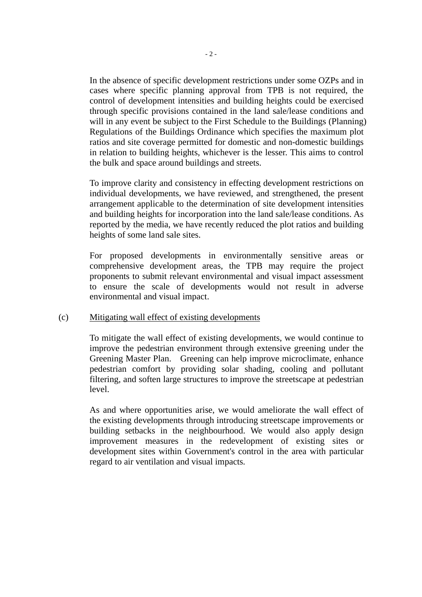In the absence of specific development restrictions under some OZPs and in cases where specific planning approval from TPB is not required, the control of development intensities and building heights could be exercised through specific provisions contained in the land sale/lease conditions and will in any event be subject to the First Schedule to the Buildings (Planning) Regulations of the Buildings Ordinance which specifies the maximum plot ratios and site coverage permitted for domestic and non-domestic buildings in relation to building heights, whichever is the lesser. This aims to control the bulk and space around buildings and streets.

To improve clarity and consistency in effecting development restrictions on individual developments, we have reviewed, and strengthened, the present arrangement applicable to the determination of site development intensities and building heights for incorporation into the land sale/lease conditions. As reported by the media, we have recently reduced the plot ratios and building heights of some land sale sites.

For proposed developments in environmentally sensitive areas or comprehensive development areas, the TPB may require the project proponents to submit relevant environmental and visual impact assessment to ensure the scale of developments would not result in adverse environmental and visual impact.

#### (c) Mitigating wall effect of existing developments

To mitigate the wall effect of existing developments, we would continue to improve the pedestrian environment through extensive greening under the Greening Master Plan. Greening can help improve microclimate, enhance pedestrian comfort by providing solar shading, cooling and pollutant filtering, and soften large structures to improve the streetscape at pedestrian level.

 As and where opportunities arise, we would ameliorate the wall effect of the existing developments through introducing streetscape improvements or building setbacks in the neighbourhood. We would also apply design improvement measures in the redevelopment of existing sites or development sites within Government's control in the area with particular regard to air ventilation and visual impacts.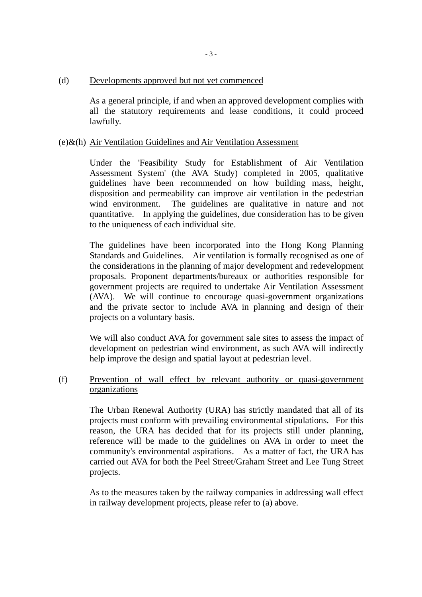#### (d) Developments approved but not yet commenced

As a general principle, if and when an approved development complies with all the statutory requirements and lease conditions, it could proceed lawfully.

#### (e)&(h) Air Ventilation Guidelines and Air Ventilation Assessment

 Under the 'Feasibility Study for Establishment of Air Ventilation Assessment System' (the AVA Study) completed in 2005, qualitative guidelines have been recommended on how building mass, height, disposition and permeability can improve air ventilation in the pedestrian wind environment. The guidelines are qualitative in nature and not quantitative. In applying the guidelines, due consideration has to be given to the uniqueness of each individual site.

 The guidelines have been incorporated into the Hong Kong Planning Standards and Guidelines. Air ventilation is formally recognised as one of the considerations in the planning of major development and redevelopment proposals. Proponent departments/bureaux or authorities responsible for government projects are required to undertake Air Ventilation Assessment (AVA). We will continue to encourage quasi-government organizations and the private sector to include AVA in planning and design of their projects on a voluntary basis.

 We will also conduct AVA for government sale sites to assess the impact of development on pedestrian wind environment, as such AVA will indirectly help improve the design and spatial layout at pedestrian level.

#### (f) Prevention of wall effect by relevant authority or quasi-government organizations

The Urban Renewal Authority (URA) has strictly mandated that all of its projects must conform with prevailing environmental stipulations. For this reason, the URA has decided that for its projects still under planning, reference will be made to the guidelines on AVA in order to meet the community's environmental aspirations. As a matter of fact, the URA has carried out AVA for both the Peel Street/Graham Street and Lee Tung Street projects.

As to the measures taken by the railway companies in addressing wall effect in railway development projects, please refer to (a) above.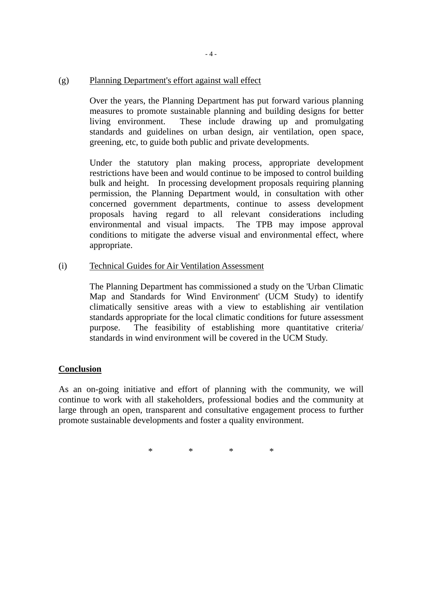#### (g) Planning Department's effort against wall effect

 Over the years, the Planning Department has put forward various planning measures to promote sustainable planning and building designs for better living environment. These include drawing up and promulgating standards and guidelines on urban design, air ventilation, open space, greening, etc, to guide both public and private developments.

Under the statutory plan making process, appropriate development restrictions have been and would continue to be imposed to control building bulk and height. In processing development proposals requiring planning permission, the Planning Department would, in consultation with other concerned government departments, continue to assess development proposals having regard to all relevant considerations including environmental and visual impacts. The TPB may impose approval conditions to mitigate the adverse visual and environmental effect, where appropriate.

#### (i) Technical Guides for Air Ventilation Assessment

 The Planning Department has commissioned a study on the 'Urban Climatic Map and Standards for Wind Environment' (UCM Study) to identify climatically sensitive areas with a view to establishing air ventilation standards appropriate for the local climatic conditions for future assessment purpose. The feasibility of establishing more quantitative criteria/ standards in wind environment will be covered in the UCM Study.

#### **Conclusion**

As an on-going initiative and effort of planning with the community, we will continue to work with all stakeholders, professional bodies and the community at large through an open, transparent and consultative engagement process to further promote sustainable developments and foster a quality environment.

\* \* \* \*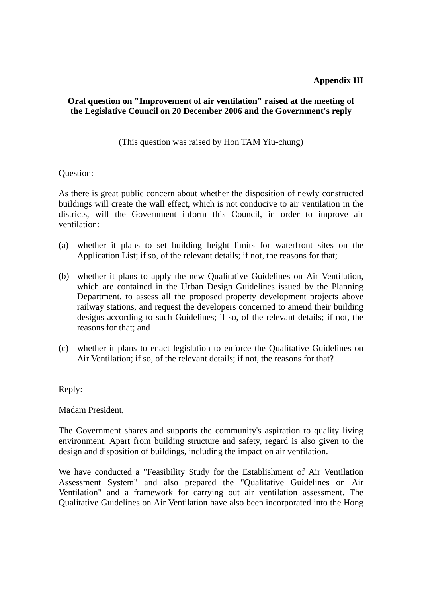## **Appendix III**

## **Oral question on "Improvement of air ventilation" raised at the meeting of the Legislative Council on 20 December 2006 and the Government's reply**

(This question was raised by Hon TAM Yiu-chung)

Question:

As there is great public concern about whether the disposition of newly constructed buildings will create the wall effect, which is not conducive to air ventilation in the districts, will the Government inform this Council, in order to improve air ventilation:

- (a) whether it plans to set building height limits for waterfront sites on the Application List; if so, of the relevant details; if not, the reasons for that;
- (b) whether it plans to apply the new Qualitative Guidelines on Air Ventilation, which are contained in the Urban Design Guidelines issued by the Planning Department, to assess all the proposed property development projects above railway stations, and request the developers concerned to amend their building designs according to such Guidelines; if so, of the relevant details; if not, the reasons for that; and
- (c) whether it plans to enact legislation to enforce the Qualitative Guidelines on Air Ventilation; if so, of the relevant details; if not, the reasons for that?

Reply:

Madam President,

The Government shares and supports the community's aspiration to quality living environment. Apart from building structure and safety, regard is also given to the design and disposition of buildings, including the impact on air ventilation.

We have conducted a "Feasibility Study for the Establishment of Air Ventilation Assessment System" and also prepared the "Qualitative Guidelines on Air Ventilation" and a framework for carrying out air ventilation assessment. The Qualitative Guidelines on Air Ventilation have also been incorporated into the Hong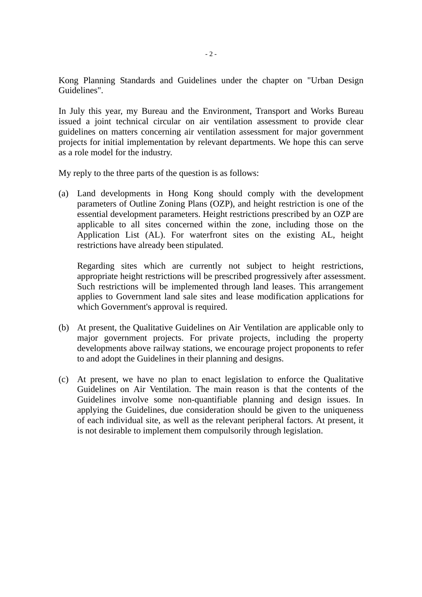Kong Planning Standards and Guidelines under the chapter on "Urban Design Guidelines".

In July this year, my Bureau and the Environment, Transport and Works Bureau issued a joint technical circular on air ventilation assessment to provide clear guidelines on matters concerning air ventilation assessment for major government projects for initial implementation by relevant departments. We hope this can serve as a role model for the industry.

My reply to the three parts of the question is as follows:

(a) Land developments in Hong Kong should comply with the development parameters of Outline Zoning Plans (OZP), and height restriction is one of the essential development parameters. Height restrictions prescribed by an OZP are applicable to all sites concerned within the zone, including those on the Application List (AL). For waterfront sites on the existing AL, height restrictions have already been stipulated.

Regarding sites which are currently not subject to height restrictions, appropriate height restrictions will be prescribed progressively after assessment. Such restrictions will be implemented through land leases. This arrangement applies to Government land sale sites and lease modification applications for which Government's approval is required.

- (b) At present, the Qualitative Guidelines on Air Ventilation are applicable only to major government projects. For private projects, including the property developments above railway stations, we encourage project proponents to refer to and adopt the Guidelines in their planning and designs.
- (c) At present, we have no plan to enact legislation to enforce the Qualitative Guidelines on Air Ventilation. The main reason is that the contents of the Guidelines involve some non-quantifiable planning and design issues. In applying the Guidelines, due consideration should be given to the uniqueness of each individual site, as well as the relevant peripheral factors. At present, it is not desirable to implement them compulsorily through legislation.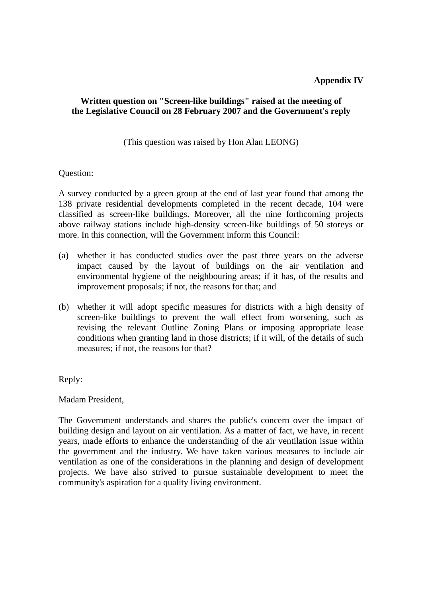## **Appendix IV**

## **Written question on "Screen-like buildings" raised at the meeting of the Legislative Council on 28 February 2007 and the Government's reply**

(This question was raised by Hon Alan LEONG)

#### Question:

A survey conducted by a green group at the end of last year found that among the 138 private residential developments completed in the recent decade, 104 were classified as screen-like buildings. Moreover, all the nine forthcoming projects above railway stations include high-density screen-like buildings of 50 storeys or more. In this connection, will the Government inform this Council:

- (a) whether it has conducted studies over the past three years on the adverse impact caused by the layout of buildings on the air ventilation and environmental hygiene of the neighbouring areas; if it has, of the results and improvement proposals; if not, the reasons for that; and
- (b) whether it will adopt specific measures for districts with a high density of screen-like buildings to prevent the wall effect from worsening, such as revising the relevant Outline Zoning Plans or imposing appropriate lease conditions when granting land in those districts; if it will, of the details of such measures; if not, the reasons for that?

Reply:

Madam President,

The Government understands and shares the public's concern over the impact of building design and layout on air ventilation. As a matter of fact, we have, in recent years, made efforts to enhance the understanding of the air ventilation issue within the government and the industry. We have taken various measures to include air ventilation as one of the considerations in the planning and design of development projects. We have also strived to pursue sustainable development to meet the community's aspiration for a quality living environment.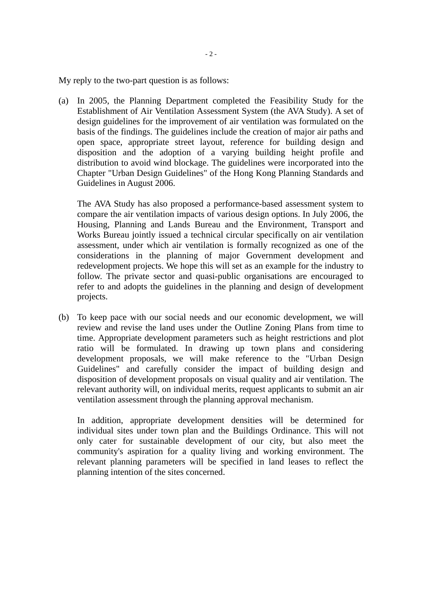My reply to the two-part question is as follows:

(a) In 2005, the Planning Department completed the Feasibility Study for the Establishment of Air Ventilation Assessment System (the AVA Study). A set of design guidelines for the improvement of air ventilation was formulated on the basis of the findings. The guidelines include the creation of major air paths and open space, appropriate street layout, reference for building design and disposition and the adoption of a varying building height profile and distribution to avoid wind blockage. The guidelines were incorporated into the Chapter "Urban Design Guidelines" of the Hong Kong Planning Standards and Guidelines in August 2006.

The AVA Study has also proposed a performance-based assessment system to compare the air ventilation impacts of various design options. In July 2006, the Housing, Planning and Lands Bureau and the Environment, Transport and Works Bureau jointly issued a technical circular specifically on air ventilation assessment, under which air ventilation is formally recognized as one of the considerations in the planning of major Government development and redevelopment projects. We hope this will set as an example for the industry to follow. The private sector and quasi-public organisations are encouraged to refer to and adopts the guidelines in the planning and design of development projects.

(b) To keep pace with our social needs and our economic development, we will review and revise the land uses under the Outline Zoning Plans from time to time. Appropriate development parameters such as height restrictions and plot ratio will be formulated. In drawing up town plans and considering development proposals, we will make reference to the "Urban Design Guidelines" and carefully consider the impact of building design and disposition of development proposals on visual quality and air ventilation. The relevant authority will, on individual merits, request applicants to submit an air ventilation assessment through the planning approval mechanism.

In addition, appropriate development densities will be determined for individual sites under town plan and the Buildings Ordinance. This will not only cater for sustainable development of our city, but also meet the community's aspiration for a quality living and working environment. The relevant planning parameters will be specified in land leases to reflect the planning intention of the sites concerned.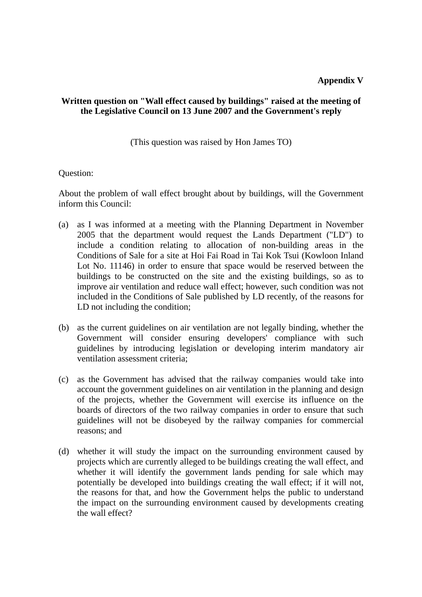## **Written question on "Wall effect caused by buildings" raised at the meeting of the Legislative Council on 13 June 2007 and the Government's reply**

(This question was raised by Hon James TO)

#### Question:

About the problem of wall effect brought about by buildings, will the Government inform this Council:

- (a) as I was informed at a meeting with the Planning Department in November 2005 that the department would request the Lands Department ("LD") to include a condition relating to allocation of non-building areas in the Conditions of Sale for a site at Hoi Fai Road in Tai Kok Tsui (Kowloon Inland Lot No. 11146) in order to ensure that space would be reserved between the buildings to be constructed on the site and the existing buildings, so as to improve air ventilation and reduce wall effect; however, such condition was not included in the Conditions of Sale published by LD recently, of the reasons for LD not including the condition;
- (b) as the current guidelines on air ventilation are not legally binding, whether the Government will consider ensuring developers' compliance with such guidelines by introducing legislation or developing interim mandatory air ventilation assessment criteria;
- (c) as the Government has advised that the railway companies would take into account the government guidelines on air ventilation in the planning and design of the projects, whether the Government will exercise its influence on the boards of directors of the two railway companies in order to ensure that such guidelines will not be disobeyed by the railway companies for commercial reasons; and
- (d) whether it will study the impact on the surrounding environment caused by projects which are currently alleged to be buildings creating the wall effect, and whether it will identify the government lands pending for sale which may potentially be developed into buildings creating the wall effect; if it will not, the reasons for that, and how the Government helps the public to understand the impact on the surrounding environment caused by developments creating the wall effect?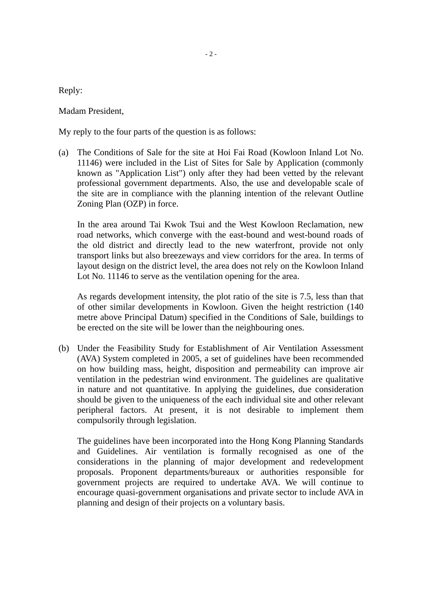$-2-$ 

Reply:

Madam President,

My reply to the four parts of the question is as follows:

(a) The Conditions of Sale for the site at Hoi Fai Road (Kowloon Inland Lot No. 11146) were included in the List of Sites for Sale by Application (commonly known as "Application List") only after they had been vetted by the relevant professional government departments. Also, the use and developable scale of the site are in compliance with the planning intention of the relevant Outline Zoning Plan (OZP) in force.

In the area around Tai Kwok Tsui and the West Kowloon Reclamation, new road networks, which converge with the east-bound and west-bound roads of the old district and directly lead to the new waterfront, provide not only transport links but also breezeways and view corridors for the area. In terms of layout design on the district level, the area does not rely on the Kowloon Inland Lot No. 11146 to serve as the ventilation opening for the area.

As regards development intensity, the plot ratio of the site is 7.5, less than that of other similar developments in Kowloon. Given the height restriction (140 metre above Principal Datum) specified in the Conditions of Sale, buildings to be erected on the site will be lower than the neighbouring ones.

(b) Under the Feasibility Study for Establishment of Air Ventilation Assessment (AVA) System completed in 2005, a set of guidelines have been recommended on how building mass, height, disposition and permeability can improve air ventilation in the pedestrian wind environment. The guidelines are qualitative in nature and not quantitative. In applying the guidelines, due consideration should be given to the uniqueness of the each individual site and other relevant peripheral factors. At present, it is not desirable to implement them compulsorily through legislation.

The guidelines have been incorporated into the Hong Kong Planning Standards and Guidelines. Air ventilation is formally recognised as one of the considerations in the planning of major development and redevelopment proposals. Proponent departments/bureaux or authorities responsible for government projects are required to undertake AVA. We will continue to encourage quasi-government organisations and private sector to include AVA in planning and design of their projects on a voluntary basis.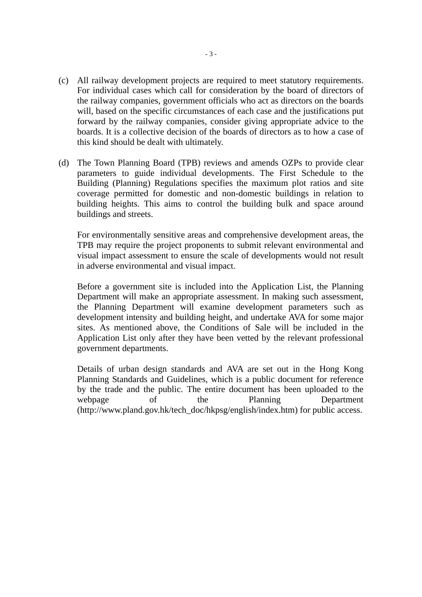- (c) All railway development projects are required to meet statutory requirements. For individual cases which call for consideration by the board of directors of the railway companies, government officials who act as directors on the boards will, based on the specific circumstances of each case and the justifications put forward by the railway companies, consider giving appropriate advice to the boards. It is a collective decision of the boards of directors as to how a case of this kind should be dealt with ultimately.
- (d) The Town Planning Board (TPB) reviews and amends OZPs to provide clear parameters to guide individual developments. The First Schedule to the Building (Planning) Regulations specifies the maximum plot ratios and site coverage permitted for domestic and non-domestic buildings in relation to building heights. This aims to control the building bulk and space around buildings and streets.

For environmentally sensitive areas and comprehensive development areas, the TPB may require the project proponents to submit relevant environmental and visual impact assessment to ensure the scale of developments would not result in adverse environmental and visual impact.

Before a government site is included into the Application List, the Planning Department will make an appropriate assessment. In making such assessment, the Planning Department will examine development parameters such as development intensity and building height, and undertake AVA for some major sites. As mentioned above, the Conditions of Sale will be included in the Application List only after they have been vetted by the relevant professional government departments.

Details of urban design standards and AVA are set out in the Hong Kong Planning Standards and Guidelines, which is a public document for reference by the trade and the public. The entire document has been uploaded to the webpage of the Planning Department (http://www.pland.gov.hk/tech\_doc/hkpsg/english/index.htm) for public access.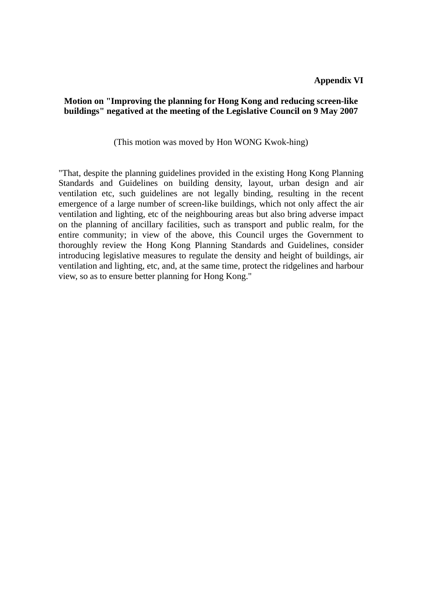## **Motion on "Improving the planning for Hong Kong and reducing screen-like buildings" negatived at the meeting of the Legislative Council on 9 May 2007**

(This motion was moved by Hon WONG Kwok-hing)

"That, despite the planning guidelines provided in the existing Hong Kong Planning Standards and Guidelines on building density, layout, urban design and air ventilation etc, such guidelines are not legally binding, resulting in the recent emergence of a large number of screen-like buildings, which not only affect the air ventilation and lighting, etc of the neighbouring areas but also bring adverse impact on the planning of ancillary facilities, such as transport and public realm, for the entire community; in view of the above, this Council urges the Government to thoroughly review the Hong Kong Planning Standards and Guidelines, consider introducing legislative measures to regulate the density and height of buildings, air ventilation and lighting, etc, and, at the same time, protect the ridgelines and harbour view, so as to ensure better planning for Hong Kong."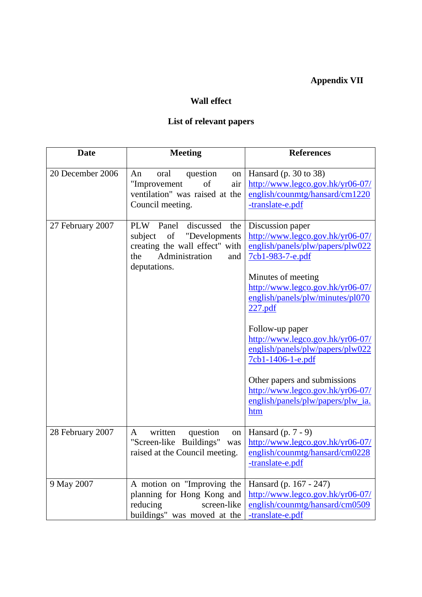# **Appendix VII**

## **Wall effect**

## **List of relevant papers**

| <b>Date</b>      | <b>Meeting</b>                                                                                                                                              | <b>References</b>                                                                                                                                                                                                                                                                                                                                                                                                                                     |
|------------------|-------------------------------------------------------------------------------------------------------------------------------------------------------------|-------------------------------------------------------------------------------------------------------------------------------------------------------------------------------------------------------------------------------------------------------------------------------------------------------------------------------------------------------------------------------------------------------------------------------------------------------|
| 20 December 2006 | question<br>An<br>oral<br>on<br>of<br>"Improvement<br>air<br>ventilation" was raised at the<br>Council meeting.                                             | Hansard $(p. 30 to 38)$<br>http://www.legco.gov.hk/yr06-07/<br>english/counmtg/hansard/cm1220<br>-translate-e.pdf                                                                                                                                                                                                                                                                                                                                     |
| 27 February 2007 | <b>PLW</b><br>Panel<br>discussed<br>the<br>"Developments<br>subject<br>of<br>creating the wall effect" with<br>Administration<br>the<br>and<br>deputations. | Discussion paper<br>http://www.legco.gov.hk/yr06-07/<br>english/panels/plw/papers/plw022<br>7cb1-983-7-e.pdf<br>Minutes of meeting<br>http://www.legco.gov.hk/yr06-07/<br>english/panels/plw/minutes/pl070<br>227.pdf<br>Follow-up paper<br>http://www.legco.gov.hk/yr06-07/<br>english/panels/plw/papers/plw022<br>7cb1-1406-1-e.pdf<br>Other papers and submissions<br>http://www.legco.gov.hk/yr06-07/<br>english/panels/plw/papers/plw_ia.<br>htm |
| 28 February 2007 | question<br>written<br>A<br>on<br>"Screen-like Buildings"<br>was<br>raised at the Council meeting.                                                          | Hansard $(p. 7 - 9)$<br>http://www.legco.gov.hk/yr06-07/<br>english/counmtg/hansard/cm0228<br>-translate-e.pdf                                                                                                                                                                                                                                                                                                                                        |
| 9 May 2007       | A motion on "Improving the<br>planning for Hong Kong and<br>reducing<br>screen-like<br>buildings" was moved at the                                          | Hansard (p. 167 - 247)<br>http://www.legco.gov.hk/yr06-07/<br>english/counmtg/hansard/cm0509<br>-translate-e.pdf                                                                                                                                                                                                                                                                                                                                      |